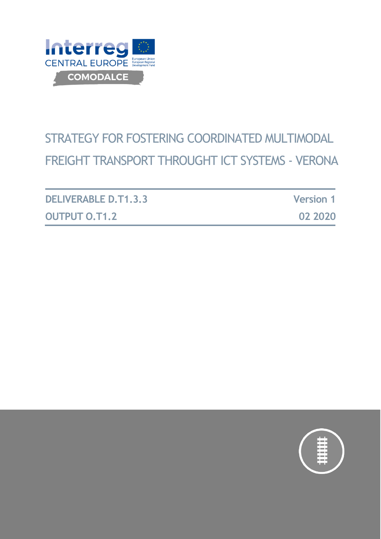

# STRATEGY FOR FOSTERING COORDINATED MULTIMODAL FREIGHT TRANSPORT THROUGHT ICT SYSTEMS - VERONA

| <b>DELIVERABLE D.T1.3.3</b> | <b>Version 1</b> |
|-----------------------------|------------------|
| <b>OUTPUT O.T1.2</b>        | 02 2020          |

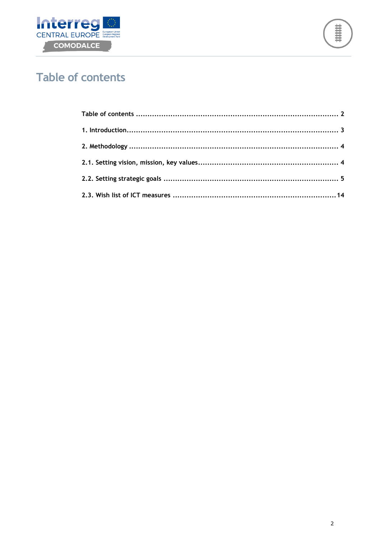



# <span id="page-1-0"></span>**Table of contents**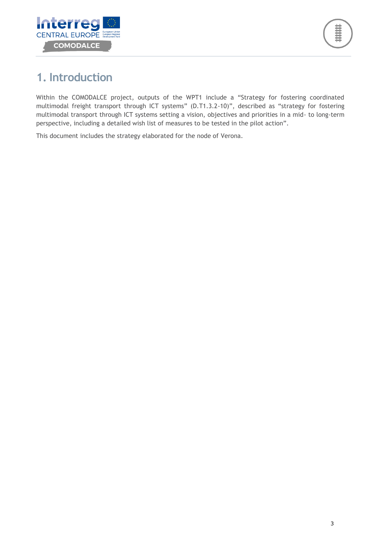

# <span id="page-2-0"></span>**1. Introduction**

Within the COMODALCE project, outputs of the WPT1 include a "Strategy for fostering coordinated multimodal freight transport through ICT systems" (D.T1.3.2-10)", described as "strategy for fostering multimodal transport through ICT systems setting a vision, objectives and priorities in a mid- to long-term perspective, including a detailed wish list of measures to be tested in the pilot action".

This document includes the strategy elaborated for the node of Verona.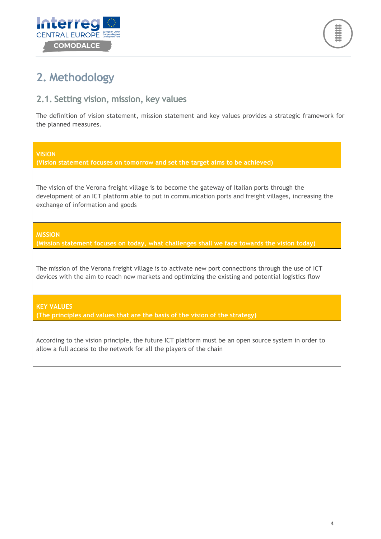



# <span id="page-3-0"></span>**2. Methodology**

### <span id="page-3-1"></span>**2.1. Setting vision, mission, key values**

The definition of vision statement, mission statement and key values provides a strategic framework for the planned measures.

**VISION**

**(Vision statement focuses on tomorrow and set the target aims to be achieved)**

The vision of the Verona freight village is to become the gateway of Italian ports through the development of an ICT platform able to put in communication ports and freight villages, increasing the exchange of information and goods

**MISSION**

**(Mission statement focuses on today, what challenges shall we face towards the vision today)**

The mission of the Verona freight village is to activate new port connections through the use of ICT devices with the aim to reach new markets and optimizing the existing and potential logistics flow

**KEY VALUES**

**(The principles and values that are the basis of the vision of the strategy)**

According to the vision principle, the future ICT platform must be an open source system in order to allow a full access to the network for all the players of the chain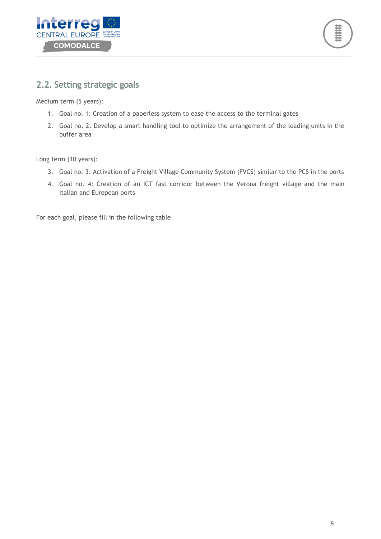



### <span id="page-4-0"></span>**2.2. Setting strategic goals**

Medium term (5 years):

- 1. Goal no. 1: Creation of a paperless system to ease the access to the terminal gates
- 2. Goal no. 2: Develop a smart handling tool to optimize the arrangement of the loading units in the buffer area

Long term (10 years):

- 3. Goal no. 3: Activation of a Freight Village Community System (FVCS) similar to the PCS in the ports
- 4. Goal no. 4: Creation of an ICT fast corridor between the Verona freight village and the main Italian and European ports

For each goal, please fill in the following table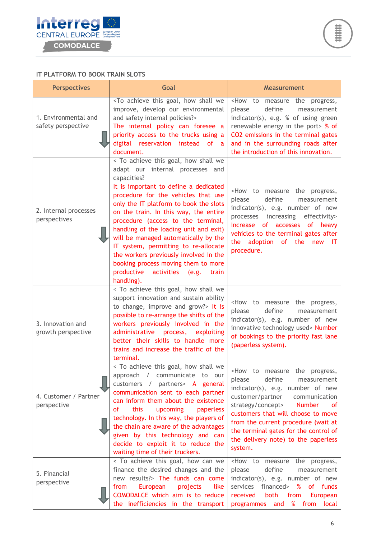

#### **IT PLATFORM TO BOOK TRAIN SLOTS**

| <b>Perspectives</b>                        | Goal                                                                                                                                                                                                                                                                                                                                                                                                                                                                                                                                                                    | <b>Measurement</b>                                                                                                                                                                                                                                                                                                                                                                           |  |
|--------------------------------------------|-------------------------------------------------------------------------------------------------------------------------------------------------------------------------------------------------------------------------------------------------------------------------------------------------------------------------------------------------------------------------------------------------------------------------------------------------------------------------------------------------------------------------------------------------------------------------|----------------------------------------------------------------------------------------------------------------------------------------------------------------------------------------------------------------------------------------------------------------------------------------------------------------------------------------------------------------------------------------------|--|
| 1. Environmental and<br>safety perspective | <to achieve="" goal,="" how="" shall="" this="" we<br="">improve, develop our environmental<br/>and safety internal policies?&gt;<br/>The internal policy can foresee a<br/>priority access to the trucks using a<br/>digital reservation instead of a<br/>document.</to>                                                                                                                                                                                                                                                                                               | <how measure="" progress,<br="" the="" to="">define<br/>please<br/>measurement<br/>indicator(s), e.g. % of using green<br/>renewable energy in the port&gt; % of<br/>CO2 emissions in the terminal gates<br/>and in the surrounding roads after<br/>the introduction of this innovation.</how>                                                                                               |  |
| 2. Internal processes<br>perspectives      | < To achieve this goal, how shall we<br>adapt our internal processes and<br>capacities?<br>It is important to define a dedicated<br>procedure for the vehicles that use<br>only the IT platform to book the slots<br>on the train. In this way, the entire<br>procedure (access to the terminal,<br>handling of the loading unit and exit)<br>will be managed automatically by the<br>IT system, permitting to re-allocate<br>the workers previously involved in the<br>booking process moving them to more<br>productive<br>activities<br>(e.g.<br>train<br>handling). | <how measure<br="" to="">the progress,<br/>please<br/>define<br/>measurement<br/>indicator(s), e.g. number of new<br/>processes increasing effectivity&gt;<br/>of accesses<br/>of heavy<br/>Increase<br/>vehicles to the terminal gates after<br/>adoption<br/>the<br/>of<br/>the<br/>-IT<br/>new<br/>procedure.</how>                                                                       |  |
| 3. Innovation and<br>growth perspective    | < To achieve this goal, how shall we<br>support innovation and sustain ability<br>to change, improve and grow?> It is<br>possible to re-arrange the shifts of the<br>workers previously involved in the<br>process,<br>administrative<br>exploiting<br>better their skills to handle more<br>trains and increase the traffic of the<br>terminal.                                                                                                                                                                                                                        | <how measure="" progress,<br="" the="" to="">define<br/>please<br/>measurement<br/>indicator(s), e.g. number of new<br/>innovative technology used&gt; Number<br/>of bookings to the priority fast lane<br/>(paperless system).</how>                                                                                                                                                        |  |
| 4. Customer / Partner<br>perspective       | < To achieve this goal, how shall we<br>approach / communicate<br>to our<br>customers / partners> A general<br>communication sent to each partner<br>can inform them about the existence<br>this<br>of<br>upcoming<br>paperless<br>technology. In this way, the players of<br>the chain are aware of the advantages<br>given by this technology and can<br>decide to exploit it to reduce the<br>waiting time of their truckers.                                                                                                                                        | <how measure="" progress,<br="" the="" to="">please<br/>define<br/>measurement<br/>indicator(s), e.g. number of new<br/>customer/partner communication<br/>strategy/concept&gt;<br/><b>Number</b><br/>of.<br/>customers that will choose to move<br/>from the current procedure (wait at<br/>the terminal gates for the control of<br/>the delivery note) to the paperless<br/>system.</how> |  |
| 5. Financial<br>perspective                | < To achieve this goal, how can we<br>finance the desired changes and the<br>new results?> The funds can come<br>European<br>from<br>projects<br>like<br>COMODALCE which aim is to reduce<br>the inefficiencies in the transport                                                                                                                                                                                                                                                                                                                                        | <how measure="" progress,<br="" the="" to="">define<br/>please<br/>measurement<br/>indicator(s), e.g. number of new<br/>financed&gt;<br/>%<br/>services<br/>of funds<br/>received<br/>both<br/>from<br/>European<br/>and %<br/>local<br/>programmes<br/>from</how>                                                                                                                           |  |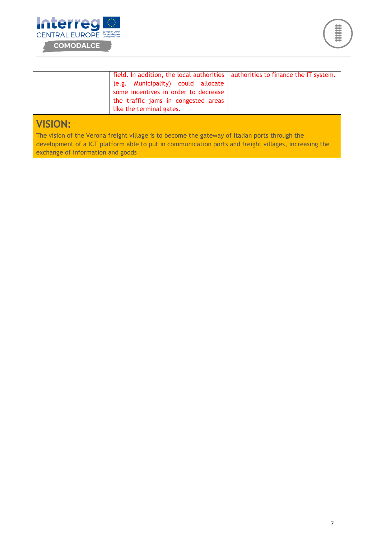



# **VISION:**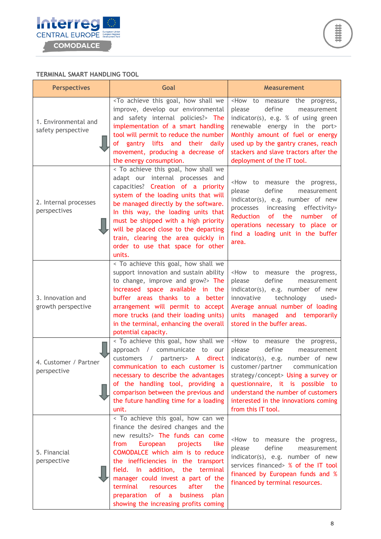

#### **TERMINAL SMART HANDLING TOOL**

| <b>Perspectives</b>                        | Goal                                                                                                                                                                                                                                                                                                                                                                                                                                    | <b>Measurement</b>                                                                                                                                                                                                                                                                                                      |  |
|--------------------------------------------|-----------------------------------------------------------------------------------------------------------------------------------------------------------------------------------------------------------------------------------------------------------------------------------------------------------------------------------------------------------------------------------------------------------------------------------------|-------------------------------------------------------------------------------------------------------------------------------------------------------------------------------------------------------------------------------------------------------------------------------------------------------------------------|--|
| 1. Environmental and<br>safety perspective | <to achieve="" goal,="" how="" shall="" this="" we<br="">improve, develop our environmental<br/>and safety internal policies?&gt; The<br/>implementation of a smart handling<br/>tool will permit to reduce the number<br/>of gantry lifts and their daily<br/>movement, producing a decrease of<br/>the energy consumption.</to>                                                                                                       | <how measure="" progress,<br="" the="" to="">define<br/>please<br/>measurement<br/>indicator(s), e.g. % of using green<br/>renewable energy in the port&gt;<br/>Monthly amount of fuel or energy<br/>used up by the gantry cranes, reach<br/>stackers and slave tractors after the<br/>deployment of the IT tool.</how> |  |
| 2. Internal processes<br>perspectives      | < To achieve this goal, how shall we<br>adapt our internal processes and<br>capacities? Creation of a priority<br>system of the loading units that will<br>be managed directly by the software.<br>In this way, the loading units that<br>must be shipped with a high priority<br>will be placed close to the departing<br>train, clearing the area quickly in<br>order to use that space for other<br>units.                           | <how measure="" progress,<br="" the="" to="">define<br/>please<br/>measurement<br/>indicator(s), e.g. number of new<br/>processes increasing effectivity&gt;<br/>Reduction<br/>of the number of<br/>operations necessary to place or<br/>find a loading unit in the buffer<br/>area.</how>                              |  |
| 3. Innovation and<br>growth perspective    | < To achieve this goal, how shall we<br>support innovation and sustain ability<br>to change, improve and grow?> The<br>increased space available in the<br>buffer areas thanks to a better<br>arrangement will permit to accept<br>more trucks (and their loading units)<br>in the terminal, enhancing the overall<br>potential capacity.                                                                                               | <how measure="" progress,<br="" the="" to="">define<br/>please<br/>measurement<br/>indicator(s), e.g. number of new<br/>innovative technology<br/>used&gt;<br/>Average annual number of loading<br/>units managed and temporarily<br/>stored in the buffer areas.</how>                                                 |  |
| 4. Customer / Partner<br>perspective       | < To achieve this goal, how shall we<br>approach / communicate to our<br>customers / partners> A direct<br>communication to each customer is   customer/partner communication<br>necessary to describe the advantages<br>of the handling tool, providing a<br>comparison between the previous and<br>the future handling time for a loading<br>unit.                                                                                    | <how measure="" progress,<br="" the="" to="">define<br/>please<br/>measurement<br/>indicator(s), e.g. number of new<br/>strategy/concept&gt; Using a survey or<br/>questionnaire, it is possible to<br/>understand the number of customers<br/>interested in the innovations coming<br/>from this IT tool.</how>        |  |
| 5. Financial<br>perspective                | < To achieve this goal, how can we<br>finance the desired changes and the<br>new results?> The funds can come<br>European<br>like<br>from<br>projects<br>COMODALCE which aim is to reduce<br>the inefficiencies in the transport<br>field. In addition, the terminal<br>manager could invest a part of the<br>terminal<br>after<br>the<br>resources<br>of a<br>business<br>preparation<br>plan<br>showing the increasing profits coming | <how measure="" progress,<br="" the="" to="">please<br/>define<br/>measurement<br/>indicator(s), e.g. number of new<br/>services financed&gt; % of the IT tool<br/>financed by European funds and %<br/>financed by terminal resources.</how>                                                                           |  |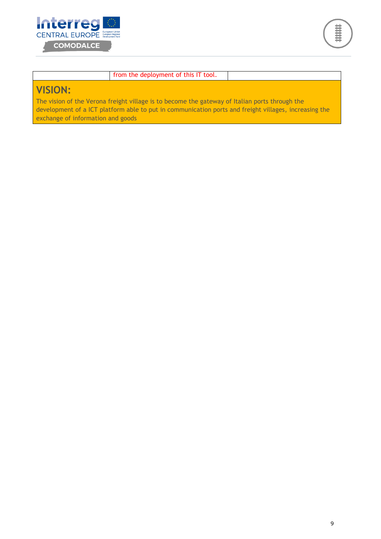



#### from the deployment of this IT tool.

# **VISION:**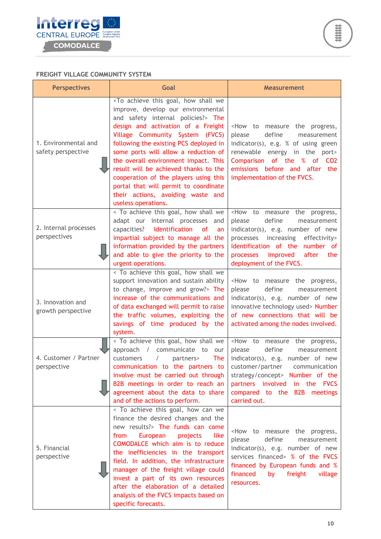

#### **FREIGHT VILLAGE COMMUNITY SYSTEM**

| <b>Perspectives</b>                        | Goal                                                                                                                                                                                                                                                                                                                                                                                                                                                                                                                                           | <b>Measurement</b>                                                                                                                                                                                                                                                                      |  |
|--------------------------------------------|------------------------------------------------------------------------------------------------------------------------------------------------------------------------------------------------------------------------------------------------------------------------------------------------------------------------------------------------------------------------------------------------------------------------------------------------------------------------------------------------------------------------------------------------|-----------------------------------------------------------------------------------------------------------------------------------------------------------------------------------------------------------------------------------------------------------------------------------------|--|
| 1. Environmental and<br>safety perspective | <to achieve="" goal,="" how="" shall="" this="" we<br="">improve, develop our environmental<br/>and safety internal policies?&gt; The<br/>design and activation of a Freight<br/>Village Community System (FVCS)<br/>following the existing PCS deployed in<br/>some ports will allow a reduction of<br/>the overall environment impact. This<br/>result will be achieved thanks to the<br/>cooperation of the players using this<br/>portal that will permit to coordinate<br/>their actions, avoiding waste and<br/>useless operations.</to> | <how measure="" progress,<br="" the="" to="">define<br/>please<br/>measurement<br/>indicator(s), e.g. % of using green<br/>renewable energy in the port&gt;<br/>Comparison of the % of CO2<br/>emissions before and after the<br/>implementation of the FVCS.</how>                     |  |
| 2. Internal processes<br>perspectives      | < To achieve this goal, how shall we<br>adapt our internal processes and<br>capacities? Identification<br><b>of</b><br>an<br>impartial subject to manage all the<br>information provided by the partners<br>and able to give the priority to the<br>urgent operations.                                                                                                                                                                                                                                                                         | <how measure="" progress,<br="" the="" to="">please<br/>define<br/>measurement<br/>indicator(s), e.g. number of new<br/>processes increasing<br/>effectivity&gt;<br/>Identification of the<br/>number of<br/>improved<br/>processes<br/>after<br/>the<br/>deployment of the FVCS.</how> |  |
| 3. Innovation and<br>growth perspective    | < To achieve this goal, how shall we<br>support innovation and sustain ability<br>to change, improve and grow?> The<br>increase of the communications and<br>of data exchanged will permit to raise<br>the traffic volumes, exploiting the<br>savings of time produced by the<br>system.                                                                                                                                                                                                                                                       | <how measure="" progress,<br="" the="" to="">define<br/>please<br/>measurement<br/>indicator(s), e.g. number of new<br/>innovative technology used&gt; Number<br/>of new connections that will be<br/>activated among the nodes involved.</how>                                         |  |
| 4. Customer / Partner<br>perspective       | < To achieve this goal, how shall we<br>approach / communicate to our<br>The<br>customers<br>$\sqrt{2}$<br>partners><br>communication to the partners to customer/partner communication<br>involve must be carried out through<br>B2B meetings in order to reach an<br>agreement about the data to share<br>and of the actions to perform.                                                                                                                                                                                                     | <how measure="" progress,<br="" the="" to="">define<br/>please<br/>measurement<br/>indicator(s), e.g. number of new<br/>strategy/concept&gt; Number of the<br/>partners involved in the FVCS<br/>compared to the B2B meetings<br/>carried out.</how>                                    |  |
| 5. Financial<br>perspective                | < To achieve this goal, how can we<br>finance the desired changes and the<br>new results?> The funds can come<br>European<br>like<br>from<br>projects<br>COMODALCE which aim is to reduce<br>the inefficiencies in the transport<br>field. In addition, the infrastructure<br>manager of the freight village could<br>invest a part of its own resources<br>after the elaboration of a detailed<br>analysis of the FVCS impacts based on<br>specific forecasts.                                                                                | <how measure="" progress,<br="" the="" to="">define<br/>please<br/>measurement<br/>indicator(s), e.g. number of new<br/>services financed&gt; % of the FVCS<br/>financed by European funds and %<br/>financed<br/>by<br/>freight<br/>village<br/>resources.</how>                       |  |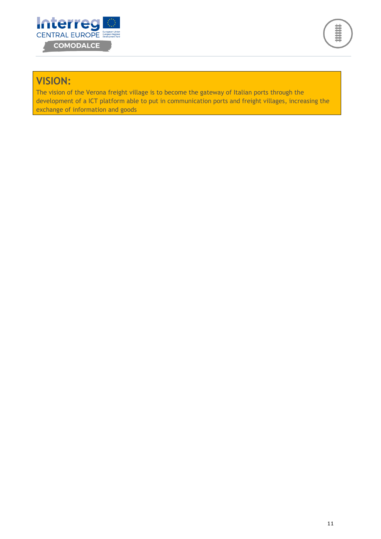



# **VISION:**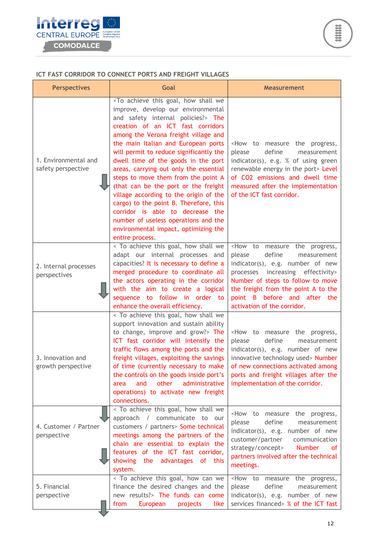

#### **ICT FAST CORRIDOR TO CONNECT PORTS AND FREIGHT VILLAGES**

| <b>Perspectives</b>                        | Goal                                                                                                                                                                                                                                                                                                                                                                                                                                                                                                                                                                                                                                                                                                               | <b>Measurement</b>                                                                                                                                                                                                                                                                                                |
|--------------------------------------------|--------------------------------------------------------------------------------------------------------------------------------------------------------------------------------------------------------------------------------------------------------------------------------------------------------------------------------------------------------------------------------------------------------------------------------------------------------------------------------------------------------------------------------------------------------------------------------------------------------------------------------------------------------------------------------------------------------------------|-------------------------------------------------------------------------------------------------------------------------------------------------------------------------------------------------------------------------------------------------------------------------------------------------------------------|
| 1. Environmental and<br>safety perspective | <to achieve="" goal,="" how="" shall="" this="" we<br="">improve, develop our environmental<br/>and safety internal policies?&gt; The<br/>creation of an ICT fast corridors<br/>among the Verona freight village and<br/>the main Italian and European ports<br/>will permit to reduce significantly the<br/>dwell time of the goods in the port<br/>areas, carrying out only the essential<br/>steps to move them from the point A<br/>(that can be the port or the freight<br/>village according to the origin of the<br/>cargo) to the point B. Therefore, this<br/>corridor is able to decrease the<br/>number of useless operations and the<br/>environmental impact, optimizing the<br/>entire process.</to> | <how measure="" progress,<br="" the="" to="">please<br/>define<br/>measurement<br/>indicator(s), e.g. % of using green<br/>renewable energy in the port&gt; Level<br/>of CO2 emissions and dwell time<br/>measured after the implementation<br/>of the ICT fast corridor.</how>                                   |
| 2. Internal processes<br>perspectives      | < To achieve this goal, how shall we<br>adapt our internal processes and<br>capacities? It is necessary to define a<br>merged procedure to coordinate all<br>the actors operating in the corridor<br>with the aim to create a logical<br>sequence to follow in order to<br>enhance the overall efficiency.                                                                                                                                                                                                                                                                                                                                                                                                         | <how measure="" progress,<br="" the="" to="">define<br/>please<br/>measurement<br/>indicator(s), e.g. number of new<br/>processes increasing effectivity&gt;<br/>Number of steps to follow to move<br/>the freight from the point A to the<br/>point B before and after the<br/>activation of the corridor.</how> |
| 3. Innovation and<br>growth perspective    | < To achieve this goal, how shall we<br>support innovation and sustain ability<br>to change, improve and grow?> The<br>ICT fast corridor will intensify the<br>traffic flows among the ports and the<br>freight villages, exploiting the savings<br>of time (currently necessary to make<br>the controls on the goods inside port's<br>other<br>and<br>administrative<br>area<br>operations) to activate new freight<br>connections.                                                                                                                                                                                                                                                                               | <how measure="" progress,<br="" the="" to="">please<br/>define<br/>measurement<br/>indicator(s), e.g. number of new<br/>innovative technology used&gt; Number<br/>of new connections activated among<br/>ports and freight villages after the<br/>implementation of the corridor.</how>                           |
| 4. Customer / Partner<br>perspective       | < To achieve this goal, how shall we<br>approach / communicate to our<br>customers / partners> Some technical<br>meetings among the partners of the<br>chain are essential to explain the<br>features of the ICT fast corridor,<br>showing the advantages<br>of<br>this<br>system.                                                                                                                                                                                                                                                                                                                                                                                                                                 | <how measure="" progress,<br="" the="" to="">define<br/>please<br/>measurement<br/>indicator(s), e.g. number of new<br/>customer/partner<br/>communication<br/>strategy/concept&gt;<br/><b>Number</b><br/>of.<br/>partners involved after the technical<br/>meetings.</how>                                       |
| 5. Financial<br>perspective                | < To achieve this goal, how can we<br>finance the desired changes and the<br>new results?> The funds can come<br>from<br>European<br>projects<br>like                                                                                                                                                                                                                                                                                                                                                                                                                                                                                                                                                              | $How$ to<br>measure the progress,<br>please<br>define<br>measurement<br>indicator(s), e.g. number of new<br>services financed> % of the ICT fast                                                                                                                                                                  |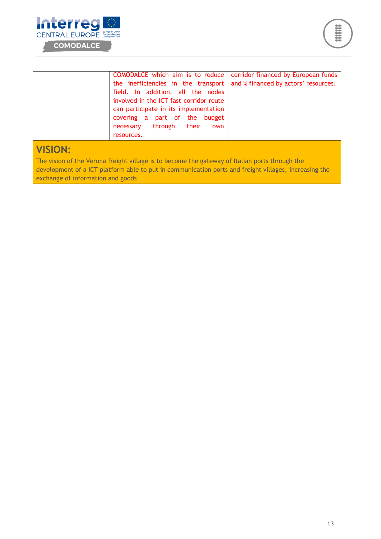



|                | COMODALCE which aim is to reduce        | corridor financed by European funds  |
|----------------|-----------------------------------------|--------------------------------------|
|                | the inefficiencies in the transport     | and % financed by actors' resources. |
|                | field. In addition, all the nodes       |                                      |
|                | involved in the ICT fast corridor route |                                      |
|                | can participate in its implementation   |                                      |
|                | covering a part of the budget           |                                      |
|                | necessary through their own             |                                      |
|                | resources.                              |                                      |
|                |                                         |                                      |
| <b>NICIAN.</b> |                                         |                                      |

### **VISION:**